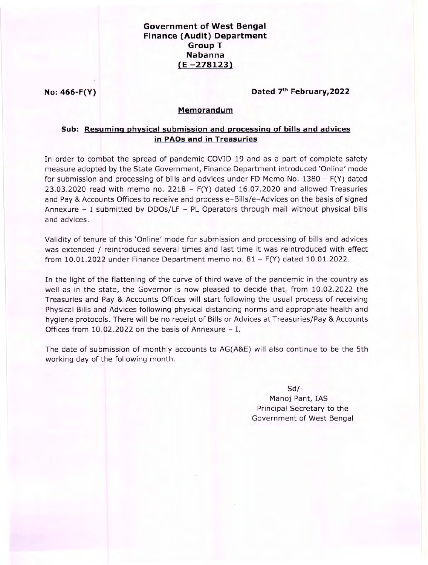# **Government of West Bengal Finance (Audit) Department Group T Nabanna**  $(E - 278123)$

No: 466-F(Y)

### Dated 7th February, 2022

## Memorandum

# Sub: Resuming physical submission and processing of bills and advices in PAOs and in Treasuries

In order to combat the spread of pandemic COVID-19 and as a part of complete safety measure adopted by the State Government, Finance Department introduced 'Online' mode for submission and processing of bills and advices under FD Memo No.  $1380 - F(Y)$  dated 23.03.2020 read with memo no.  $2218 - F(Y)$  dated 16.07.2020 and allowed Treasuries and Pay & Accounts Offices to receive and process e-Bills/e-Advices on the basis of signed Annexure  $-$  I submitted by DDOs/LF  $-$  PL Operators through mail without physical bills and advices.

Validity of tenure of this 'Online' mode for submission and processing of bills and advices was extended / reintroduced several times and last time it was reintroduced with effect from 10.01.2022 under Finance Department memo no.  $81 - F(Y)$  dated 10.01.2022.

In the light of the flattening of the curve of third wave of the pandemic in the country as well as in the state, the Governor is now pleased to decide that, from 10.02.2022 the Treasuries and Pay & Accounts Offices will start following the usual process of receiving Physical Bills and Advices following physical distancing norms and appropriate health and hygiene protocols. There will be no receipt of Bills or Advices at Treasuries/Pay & Accounts Offices from  $10.02.2022$  on the basis of Annexure - I.

The date of submission of monthly accounts to AG(A&E) will also continue to be the 5th working day of the following month.

#### $Sd$ -

Manoj Pant, IAS Principal Secretary to the Government of West Bengal